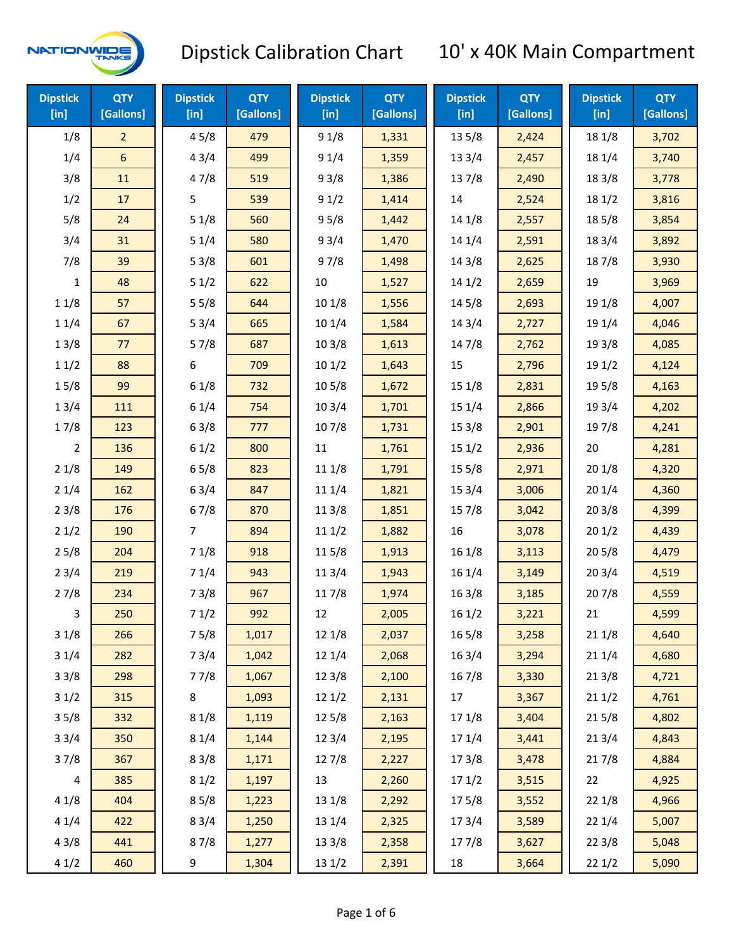

| <b>Dipstick</b><br>[in] | <b>QTY</b><br>[Gallons] | <b>Dipstick</b><br>[in] | <b>QTY</b><br>[Gallons] | <b>Dipstick</b><br>[in] | <b>QTY</b><br>[Gallons] | <b>Dipstick</b><br>[in] | <b>QTY</b><br>[Gallons] | <b>Dipstick</b><br>$[$ in] | <b>QTY</b><br>[Gallons] |
|-------------------------|-------------------------|-------------------------|-------------------------|-------------------------|-------------------------|-------------------------|-------------------------|----------------------------|-------------------------|
| 1/8                     | $\overline{2}$          | 45/8                    | 479                     | 91/8                    | 1,331                   | 13 5/8                  | 2,424                   | 18 1/8                     | 3,702                   |
| 1/4                     | $\sqrt{6}$              | 43/4                    | 499                     | 91/4                    | 1,359                   | 13 3/4                  | 2,457                   | 18 1/4                     | 3,740                   |
| 3/8                     | 11                      | 47/8                    | 519                     | 93/8                    | 1,386                   | 137/8                   | 2,490                   | 18 3/8                     | 3,778                   |
| 1/2                     | 17                      | 5                       | 539                     | 91/2                    | 1,414                   | 14                      | 2,524                   | 18 1/2                     | 3,816                   |
| 5/8                     | 24                      | 51/8                    | 560                     | 95/8                    | 1,442                   | 14 1/8                  | 2,557                   | 185/8                      | 3,854                   |
| 3/4                     | 31                      | 51/4                    | 580                     | 93/4                    | 1,470                   | 14 1/4                  | 2,591                   | 18 3/4                     | 3,892                   |
| 7/8                     | 39                      | 53/8                    | 601                     | 97/8                    | 1,498                   | 14 3/8                  | 2,625                   | 187/8                      | 3,930                   |
| 1                       | 48                      | 51/2                    | 622                     | 10                      | 1,527                   | 14 1/2                  | 2,659                   | 19                         | 3,969                   |
| 11/8                    | 57                      | 55/8                    | 644                     | 101/8                   | 1,556                   | 14 5/8                  | 2,693                   | 19 1/8                     | 4,007                   |
| 11/4                    | 67                      | 53/4                    | 665                     | 101/4                   | 1,584                   | 143/4                   | 2,727                   | 19 1/4                     | 4,046                   |
| 13/8                    | 77                      | 57/8                    | 687                     | 103/8                   | 1,613                   | 147/8                   | 2,762                   | 19 3/8                     | 4,085                   |
| 11/2                    | 88                      | 6                       | 709                     | 101/2                   | 1,643                   | 15                      | 2,796                   | 19 1/2                     | 4,124                   |
| 15/8                    | 99                      | 61/8                    | 732                     | 10 <sub>5/8</sub>       | 1,672                   | 15 1/8                  | 2,831                   | 19 5/8                     | 4,163                   |
| 13/4                    | 111                     | 61/4                    | 754                     | 103/4                   | 1,701                   | 151/4                   | 2,866                   | 19 3/4                     | 4,202                   |
| 17/8                    | 123                     | 63/8                    | 777                     | 107/8                   | 1,731                   | 153/8                   | 2,901                   | 197/8                      | 4,241                   |
| 2                       | 136                     | 61/2                    | 800                     | 11                      | 1,761                   | 151/2                   | 2,936                   | 20                         | 4,281                   |
| 21/8                    | 149                     | 65/8                    | 823                     | 11 1/8                  | 1,791                   | 15 5/8                  | 2,971                   | 201/8                      | 4,320                   |
| 21/4                    | 162                     | 63/4                    | 847                     | 11 1/4                  | 1,821                   | 153/4                   | 3,006                   | 201/4                      | 4,360                   |
| 23/8                    | 176                     | 67/8                    | 870                     | 11 3/8                  | 1,851                   | 15 7/8                  | 3,042                   | 203/8                      | 4,399                   |
| 21/2                    | 190                     | 7                       | 894                     | 111/2                   | 1,882                   | 16                      | 3,078                   | 201/2                      | 4,439                   |
| 25/8                    | 204                     | 71/8                    | 918                     | 11 5/8                  | 1,913                   | 16 1/8                  | 3,113                   | 205/8                      | 4,479                   |
| 23/4                    | 219                     | 71/4                    | 943                     | 113/4                   | 1,943                   | 16 1/4                  | 3,149                   | 203/4                      | 4,519                   |
| 27/8                    | 234                     | 73/8                    | 967                     | 117/8                   | 1,974                   | 163/8                   | 3,185                   | 207/8                      | 4,559                   |
| 3                       | 250                     | 71/2                    | 992                     | 12                      | 2,005                   | 16 1/2                  | 3,221                   | 21                         | 4,599                   |
| 31/8                    | 266                     | 75/8                    | 1,017                   | 12 1/8                  | 2,037                   | 16 5/8                  | 3,258                   | 21 1/8                     | 4,640                   |
| 31/4                    | 282                     | 73/4                    | 1,042                   | 12 1/4                  | 2,068                   | 16 3/4                  | 3,294                   | 211/4                      | 4,680                   |
| 33/8                    | 298                     | 77/8                    | 1,067                   | 12 3/8                  | 2,100                   | 16 7/8                  | 3,330                   | 213/8                      | 4,721                   |
| 31/2                    | 315                     | 8                       | 1,093                   | 12 1/2                  | 2,131                   | 17                      | 3,367                   | 211/2                      | 4,761                   |
| 35/8                    | 332                     | 81/8                    | 1,119                   | 125/8                   | 2,163                   | 17 1/8                  | 3,404                   | 215/8                      | 4,802                   |
| 33/4                    | 350                     | 81/4                    | 1,144                   | 123/4                   | 2,195                   | 17 1/4                  | 3,441                   | 213/4                      | 4,843                   |
| 37/8                    | 367                     | 83/8                    | 1,171                   | 12 7/8                  | 2,227                   | 173/8                   | 3,478                   | 217/8                      | 4,884                   |
| 4                       | 385                     | 81/2                    | 1,197                   | 13                      | 2,260                   | 171/2                   | 3,515                   | 22                         | 4,925                   |
| 41/8                    | 404                     | 85/8                    | 1,223                   | 13 1/8                  | 2,292                   | 175/8                   | 3,552                   | 221/8                      | 4,966                   |
| 41/4                    | 422                     | 83/4                    | 1,250                   | 13 1/4                  | 2,325                   | 17 3/4                  | 3,589                   | 22 1/4                     | 5,007                   |
| 43/8                    | 441                     | 87/8                    | 1,277                   | 13 3/8                  | 2,358                   | 177/8                   | 3,627                   | 223/8                      | 5,048                   |
| 41/2                    | 460                     | 9                       | 1,304                   | 13 1/2                  | 2,391                   | 18                      | 3,664                   | 221/2                      | 5,090                   |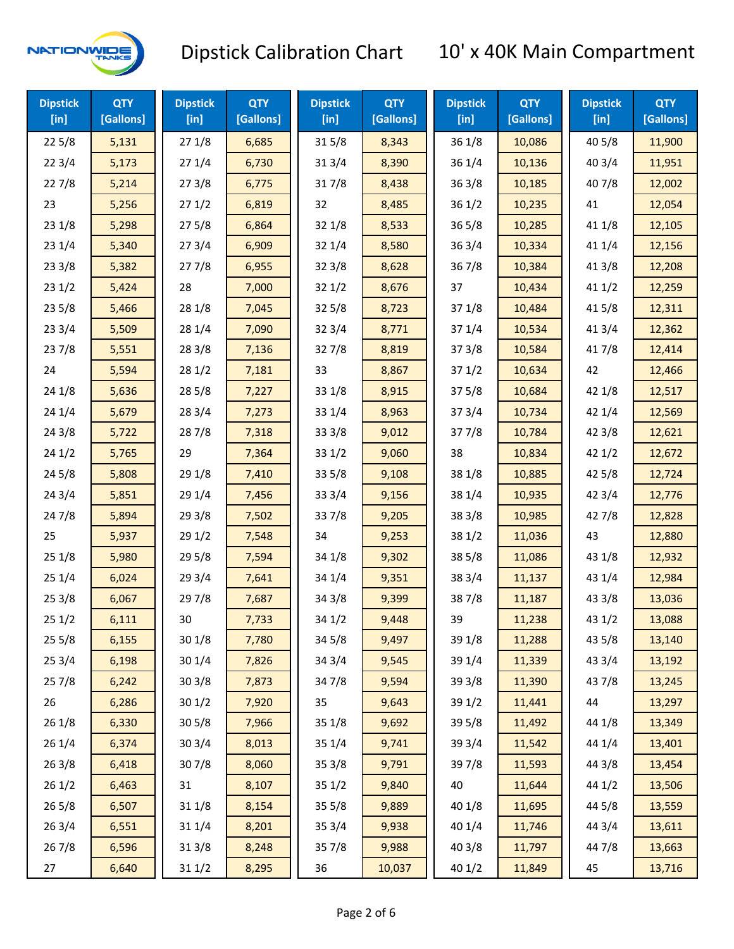

| <b>Dipstick</b><br>$[$ in] | <b>QTY</b><br>[Gallons] | <b>Dipstick</b><br>$[$ in] | <b>QTY</b><br>[Gallons] | <b>Dipstick</b><br>$[$ in] | <b>QTY</b><br>[Gallons] | <b>Dipstick</b><br>[in] | <b>QTY</b><br>[Gallons] | <b>Dipstick</b><br>$[$ in] | <b>QTY</b><br>[Gallons] |
|----------------------------|-------------------------|----------------------------|-------------------------|----------------------------|-------------------------|-------------------------|-------------------------|----------------------------|-------------------------|
| 225/8                      | 5,131                   | 271/8                      | 6,685                   | 315/8                      | 8,343                   | 36 1/8                  | 10,086                  | 40 5/8                     | 11,900                  |
| 223/4                      | 5,173                   | 271/4                      | 6,730                   | 31 3/4                     | 8,390                   | 36 1/4                  | 10,136                  | 40 3/4                     | 11,951                  |
| 227/8                      | 5,214                   | 273/8                      | 6,775                   | 317/8                      | 8,438                   | 363/8                   | 10,185                  | 407/8                      | 12,002                  |
| 23                         | 5,256                   | 271/2                      | 6,819                   | 32                         | 8,485                   | 361/2                   | 10,235                  | 41                         | 12,054                  |
| 231/8                      | 5,298                   | 275/8                      | 6,864                   | 32 1/8                     | 8,533                   | 365/8                   | 10,285                  | 41 1/8                     | 12,105                  |
| 231/4                      | 5,340                   | 273/4                      | 6,909                   | 32 1/4                     | 8,580                   | 363/4                   | 10,334                  | 41 1/4                     | 12,156                  |
| 233/8                      | 5,382                   | 277/8                      | 6,955                   | 323/8                      | 8,628                   | 367/8                   | 10,384                  | 413/8                      | 12,208                  |
| 231/2                      | 5,424                   | 28                         | 7,000                   | 321/2                      | 8,676                   | 37                      | 10,434                  | 411/2                      | 12,259                  |
| 235/8                      | 5,466                   | 28 1/8                     | 7,045                   | 325/8                      | 8,723                   | 37 1/8                  | 10,484                  | 41 5/8                     | 12,311                  |
| 233/4                      | 5,509                   | 28 1/4                     | 7,090                   | 32 3/4                     | 8,771                   | 37 1/4                  | 10,534                  | 41 3/4                     | 12,362                  |
| 237/8                      | 5,551                   | 28 3/8                     | 7,136                   | 327/8                      | 8,819                   | 373/8                   | 10,584                  | 417/8                      | 12,414                  |
| 24                         | 5,594                   | 281/2                      | 7,181                   | 33                         | 8,867                   | 371/2                   | 10,634                  | 42                         | 12,466                  |
| 241/8                      | 5,636                   | 28 5/8                     | 7,227                   | 33 1/8                     | 8,915                   | 375/8                   | 10,684                  | 42 1/8                     | 12,517                  |
| 241/4                      | 5,679                   | 28 3/4                     | 7,273                   | 33 1/4                     | 8,963                   | 373/4                   | 10,734                  | 42 1/4                     | 12,569                  |
| 243/8                      | 5,722                   | 287/8                      | 7,318                   | 33 3/8                     | 9,012                   | 377/8                   | 10,784                  | 42 3/8                     | 12,621                  |
| 241/2                      | 5,765                   | 29                         | 7,364                   | 331/2                      | 9,060                   | 38                      | 10,834                  | 421/2                      | 12,672                  |
| 245/8                      | 5,808                   | 29 1/8                     | 7,410                   | 33 5/8                     | 9,108                   | 38 1/8                  | 10,885                  | 42 5/8                     | 12,724                  |
| 243/4                      | 5,851                   | 29 1/4                     | 7,456                   | 33 3/4                     | 9,156                   | 38 1/4                  | 10,935                  | 42 3/4                     | 12,776                  |
| 24 7/8                     | 5,894                   | 29 3/8                     | 7,502                   | 337/8                      | 9,205                   | 38 3/8                  | 10,985                  | 42 7/8                     | 12,828                  |
| 25                         | 5,937                   | 29 1/2                     | 7,548                   | 34                         | 9,253                   | 38 1/2                  | 11,036                  | 43                         | 12,880                  |
| 251/8                      | 5,980                   | 29 5/8                     | 7,594                   | 34 1/8                     | 9,302                   | 38 5/8                  | 11,086                  | 43 1/8                     | 12,932                  |
| 251/4                      | 6,024                   | 29 3/4                     | 7,641                   | 34 1/4                     | 9,351                   | 38 3/4                  | 11,137                  | 43 1/4                     | 12,984                  |
| 253/8                      | 6,067                   | 297/8                      | 7,687                   | 34 3/8                     | 9,399                   | 387/8                   | 11,187                  | 43 3/8                     | 13,036                  |
| 251/2                      | 6,111                   | 30                         | 7,733                   | 34 1/2                     | 9,448                   | 39                      | 11,238                  | 43 1/2                     | 13,088                  |
| 255/8                      | 6,155                   | 30 1/8                     | 7,780                   | 345/8                      | 9,497                   | 39 1/8                  | 11,288                  | 43 5/8                     | 13,140                  |
| 253/4                      | 6,198                   | 301/4                      | 7,826                   | 34 3/4                     | 9,545                   | 39 1/4                  | 11,339                  | 43 3/4                     | 13,192                  |
| 257/8                      | 6,242                   | 30 3/8                     | 7,873                   | 347/8                      | 9,594                   | 39 3/8                  | 11,390                  | 437/8                      | 13,245                  |
| 26                         | 6,286                   | 301/2                      | 7,920                   | 35                         | 9,643                   | 39 1/2                  | 11,441                  | 44                         | 13,297                  |
| 26 1/8                     | 6,330                   | 305/8                      | 7,966                   | 35 1/8                     | 9,692                   | 39 5/8                  | 11,492                  | 44 1/8                     | 13,349                  |
| 261/4                      | 6,374                   | 303/4                      | 8,013                   | 35 1/4                     | 9,741                   | 39 3/4                  | 11,542                  | 44 1/4                     | 13,401                  |
| 263/8                      | 6,418                   | 307/8                      | 8,060                   | 35 3/8                     | 9,791                   | 397/8                   | 11,593                  | 44 3/8                     | 13,454                  |
| 261/2                      | 6,463                   | 31                         | 8,107                   | 351/2                      | 9,840                   | 40                      | 11,644                  | 44 1/2                     | 13,506                  |
| 265/8                      | 6,507                   | 31 1/8                     | 8,154                   | 355/8                      | 9,889                   | 40 1/8                  | 11,695                  | 44 5/8                     | 13,559                  |
| 263/4                      | 6,551                   | 31 1/4                     | 8,201                   | 35 3/4                     | 9,938                   | 40 1/4                  | 11,746                  | 44 3/4                     | 13,611                  |
| 267/8                      | 6,596                   | 313/8                      | 8,248                   | 35 7/8                     | 9,988                   | 40 3/8                  | 11,797                  | 447/8                      | 13,663                  |
| 27                         | 6,640                   | 31 1/2                     | 8,295                   | 36                         | 10,037                  | 40 1/2                  | 11,849                  | 45                         | 13,716                  |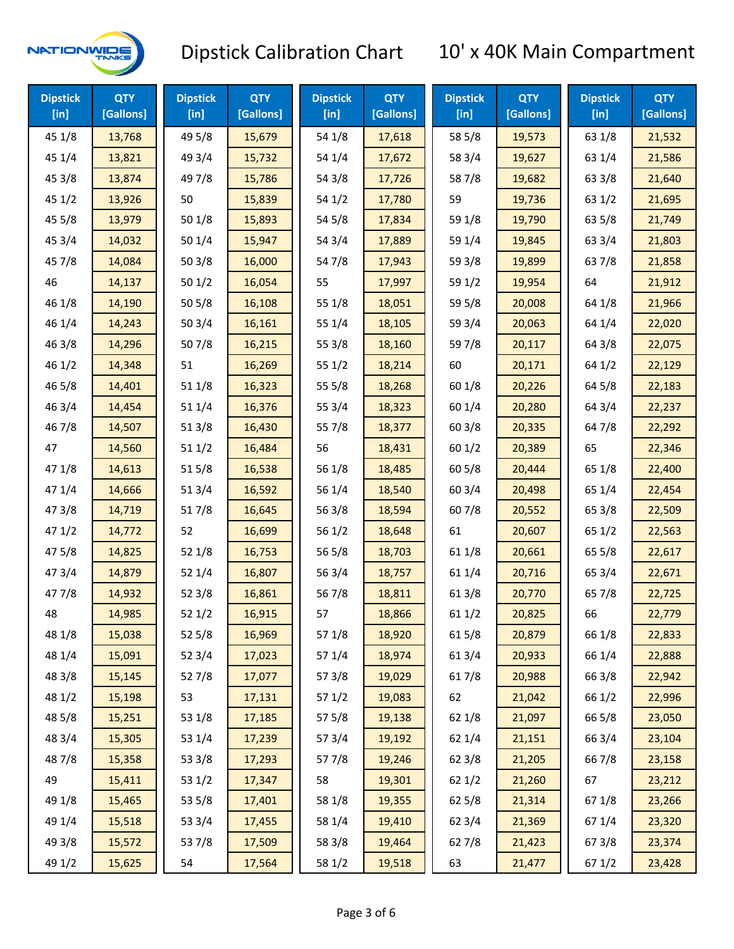

| <b>Dipstick</b><br>$[$ in] | <b>QTY</b><br>[Gallons] | <b>Dipstick</b><br>$[$ in] | <b>QTY</b><br>[Gallons] | <b>Dipstick</b><br>$[$ in] | <b>QTY</b><br>[Gallons] | <b>Dipstick</b><br>$[$ in] | <b>QTY</b><br>[Gallons] | <b>Dipstick</b><br>[in] | <b>QTY</b><br>[Gallons] |
|----------------------------|-------------------------|----------------------------|-------------------------|----------------------------|-------------------------|----------------------------|-------------------------|-------------------------|-------------------------|
| 45 1/8                     | 13,768                  | 49 5/8                     | 15,679                  | 54 1/8                     | 17,618                  | 58 5/8                     | 19,573                  | 63 1/8                  | 21,532                  |
| 45 1/4                     | 13,821                  | 49 3/4                     | 15,732                  | 54 1/4                     | 17,672                  | 58 3/4                     | 19,627                  | 63 1/4                  | 21,586                  |
| 45 3/8                     | 13,874                  | 49 7/8                     | 15,786                  | 54 3/8                     | 17,726                  | 587/8                      | 19,682                  | 63 3/8                  | 21,640                  |
| 451/2                      | 13,926                  | 50                         | 15,839                  | 54 1/2                     | 17,780                  | 59                         | 19,736                  | 63 1/2                  | 21,695                  |
| 45 5/8                     | 13,979                  | 501/8                      | 15,893                  | 545/8                      | 17,834                  | 59 1/8                     | 19,790                  | 63 5/8                  | 21,749                  |
| 45 3/4                     | 14,032                  | 501/4                      | 15,947                  | 54 3/4                     | 17,889                  | 59 1/4                     | 19,845                  | 63 3/4                  | 21,803                  |
| 45 7/8                     | 14,084                  | 503/8                      | 16,000                  | 547/8                      | 17,943                  | 59 3/8                     | 19,899                  | 637/8                   | 21,858                  |
| 46                         | 14,137                  | 501/2                      | 16,054                  | 55                         | 17,997                  | 59 1/2                     | 19,954                  | 64                      | 21,912                  |
| 46 1/8                     | 14,190                  | 505/8                      | 16,108                  | 55 1/8                     | 18,051                  | 59 5/8                     | 20,008                  | 64 1/8                  | 21,966                  |
| 46 1/4                     | 14,243                  | 50 3/4                     | 16,161                  | 55 1/4                     | 18,105                  | 59 3/4                     | 20,063                  | 64 1/4                  | 22,020                  |
| 463/8                      | 14,296                  | 507/8                      | 16,215                  | 55 3/8                     | 18,160                  | 597/8                      | 20,117                  | 64 3/8                  | 22,075                  |
| 46 1/2                     | 14,348                  | 51                         | 16,269                  | 551/2                      | 18,214                  | 60                         | 20,171                  | 64 1/2                  | 22,129                  |
| 46 5/8                     | 14,401                  | 51 1/8                     | 16,323                  | 55 5/8                     | 18,268                  | 60 1/8                     | 20,226                  | 64 5/8                  | 22,183                  |
| 46 3/4                     | 14,454                  | 51 1/4                     | 16,376                  | 55 3/4                     | 18,323                  | 60 1/4                     | 20,280                  | 64 3/4                  | 22,237                  |
| 46 7/8                     | 14,507                  | 513/8                      | 16,430                  | 55 7/8                     | 18,377                  | 603/8                      | 20,335                  | 64 7/8                  | 22,292                  |
| 47                         | 14,560                  | 511/2                      | 16,484                  | 56                         | 18,431                  | 601/2                      | 20,389                  | 65                      | 22,346                  |
| 47 1/8                     | 14,613                  | 515/8                      | 16,538                  | 56 1/8                     | 18,485                  | 60 5/8                     | 20,444                  | 65 1/8                  | 22,400                  |
| 47 1/4                     | 14,666                  | 513/4                      | 16,592                  | 56 1/4                     | 18,540                  | 60 3/4                     | 20,498                  | 65 1/4                  | 22,454                  |
| 47 3/8                     | 14,719                  | 517/8                      | 16,645                  | 56 3/8                     | 18,594                  | 607/8                      | 20,552                  | 65 3/8                  | 22,509                  |
| 47 1/2                     | 14,772                  | 52                         | 16,699                  | 56 1/2                     | 18,648                  | 61                         | 20,607                  | 65 1/2                  | 22,563                  |
| 475/8                      | 14,825                  | 52 1/8                     | 16,753                  | 56 5/8                     | 18,703                  | 61 1/8                     | 20,661                  | 65 5/8                  | 22,617                  |
| 47 3/4                     | 14,879                  | 52 1/4                     | 16,807                  | 56 3/4                     | 18,757                  | 61 1/4                     | 20,716                  | 65 3/4                  | 22,671                  |
| 477/8                      | 14,932                  | 52 3/8                     | 16,861                  | 567/8                      | 18,811                  | 61 3/8                     | 20,770                  | 65 7/8                  | 22,725                  |
| 48                         | 14,985                  | 521/2                      | 16,915                  | 57                         | 18,866                  | 611/2                      | 20,825                  | 66                      | 22,779                  |
| 48 1/8                     | 15,038                  | 52 5/8                     | 16,969                  | 57 1/8                     | 18,920                  | 615/8                      | 20,879                  | 66 1/8                  | 22,833                  |
| 48 1/4                     | 15,091                  | 52 3/4                     | 17,023                  | 57 1/4                     | 18,974                  | 613/4                      | 20,933                  | 66 1/4                  | 22,888                  |
| 48 3/8                     | 15,145                  | 527/8                      | 17,077                  | 57 3/8                     | 19,029                  | 617/8                      | 20,988                  | 66 3/8                  | 22,942                  |
| 48 1/2                     | 15,198                  | 53                         | 17,131                  | 57 1/2                     | 19,083                  | 62                         | 21,042                  | 66 1/2                  | 22,996                  |
| 48 5/8                     | 15,251                  | 53 1/8                     | 17,185                  | 57 5/8                     | 19,138                  | 62 1/8                     | 21,097                  | 66 5/8                  | 23,050                  |
| 48 3/4                     | 15,305                  | 53 1/4                     | 17,239                  | 573/4                      | 19,192                  | 621/4                      | 21,151                  | 66 3/4                  | 23,104                  |
| 487/8                      | 15,358                  | 53 3/8                     | 17,293                  | 577/8                      | 19,246                  | 62 3/8                     | 21,205                  | 667/8                   | 23,158                  |
| 49                         | 15,411                  | 53 1/2                     | 17,347                  | 58                         | 19,301                  | 621/2                      | 21,260                  | 67                      | 23,212                  |
| 49 1/8                     | 15,465                  | 53 5/8                     | 17,401                  | 58 1/8                     | 19,355                  | 62 5/8                     | 21,314                  | 671/8                   | 23,266                  |
| 49 1/4                     | 15,518                  | 53 3/4                     | 17,455                  | 58 1/4                     | 19,410                  | 62 3/4                     | 21,369                  | 671/4                   | 23,320                  |
| 49 3/8                     | 15,572                  | 537/8                      | 17,509                  | 58 3/8                     | 19,464                  | 627/8                      | 21,423                  | 673/8                   | 23,374                  |
| 49 1/2                     | 15,625                  | 54                         | 17,564                  | 58 1/2                     | 19,518                  | 63                         | 21,477                  | 67 1/2                  | 23,428                  |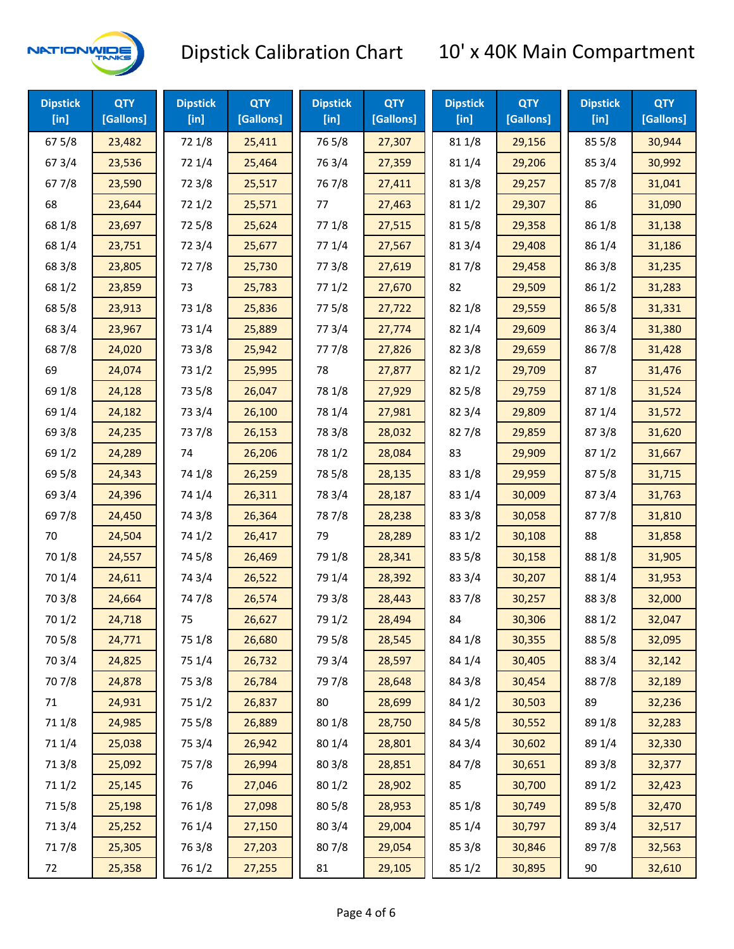

| <b>Dipstick</b><br>$[$ in] | <b>QTY</b><br>[Gallons] | <b>Dipstick</b><br>$[$ in] | <b>QTY</b><br>[Gallons] | <b>Dipstick</b><br>$[$ in] | <b>QTY</b><br>[Gallons] | <b>Dipstick</b><br>$[$ in] | <b>QTY</b><br>[Gallons] | <b>Dipstick</b><br>[in] | <b>QTY</b><br>[Gallons] |
|----------------------------|-------------------------|----------------------------|-------------------------|----------------------------|-------------------------|----------------------------|-------------------------|-------------------------|-------------------------|
| 675/8                      | 23,482                  | 72 1/8                     | 25,411                  | 765/8                      | 27,307                  | 81 1/8                     | 29,156                  | 855/8                   | 30,944                  |
| 67 3/4                     | 23,536                  | 72 1/4                     | 25,464                  | 763/4                      | 27,359                  | 81 1/4                     | 29,206                  | 85 3/4                  | 30,992                  |
| 677/8                      | 23,590                  | 72 3/8                     | 25,517                  | 767/8                      | 27,411                  | 81 3/8                     | 29,257                  | 857/8                   | 31,041                  |
| 68                         | 23,644                  | 72 1/2                     | 25,571                  | 77                         | 27,463                  | 81 1/2                     | 29,307                  | 86                      | 31,090                  |
| 68 1/8                     | 23,697                  | 725/8                      | 25,624                  | 77 1/8                     | 27,515                  | 815/8                      | 29,358                  | 86 1/8                  | 31,138                  |
| 68 1/4                     | 23,751                  | 72 3/4                     | 25,677                  | 77 1/4                     | 27,567                  | 813/4                      | 29,408                  | 86 1/4                  | 31,186                  |
| 68 3/8                     | 23,805                  | 727/8                      | 25,730                  | 77 3/8                     | 27,619                  | 817/8                      | 29,458                  | 86 3/8                  | 31,235                  |
| 68 1/2                     | 23,859                  | 73                         | 25,783                  | 771/2                      | 27,670                  | 82                         | 29,509                  | 86 1/2                  | 31,283                  |
| 68 5/8                     | 23,913                  | 73 1/8                     | 25,836                  | 775/8                      | 27,722                  | 82 1/8                     | 29,559                  | 86 5/8                  | 31,331                  |
| 68 3/4                     | 23,967                  | 73 1/4                     | 25,889                  | 773/4                      | 27,774                  | 82 1/4                     | 29,609                  | 86 3/4                  | 31,380                  |
| 687/8                      | 24,020                  | 73 3/8                     | 25,942                  | 777/8                      | 27,826                  | 82 3/8                     | 29,659                  | 867/8                   | 31,428                  |
| 69                         | 24,074                  | 73 1/2                     | 25,995                  | 78                         | 27,877                  | 821/2                      | 29,709                  | 87                      | 31,476                  |
| 69 1/8                     | 24,128                  | 73 5/8                     | 26,047                  | 78 1/8                     | 27,929                  | 825/8                      | 29,759                  | 871/8                   | 31,524                  |
| 69 1/4                     | 24,182                  | 73 3/4                     | 26,100                  | 78 1/4                     | 27,981                  | 82 3/4                     | 29,809                  | 87 1/4                  | 31,572                  |
| 69 3/8                     | 24,235                  | 737/8                      | 26,153                  | 78 3/8                     | 28,032                  | 827/8                      | 29,859                  | 87 3/8                  | 31,620                  |
| 69 1/2                     | 24,289                  | 74                         | 26,206                  | 78 1/2                     | 28,084                  | 83                         | 29,909                  | 871/2                   | 31,667                  |
| 69 5/8                     | 24,343                  | 74 1/8                     | 26,259                  | 78 5/8                     | 28,135                  | 83 1/8                     | 29,959                  | 875/8                   | 31,715                  |
| 69 3/4                     | 24,396                  | 74 1/4                     | 26,311                  | 78 3/4                     | 28,187                  | 83 1/4                     | 30,009                  | 87 3/4                  | 31,763                  |
| 697/8                      | 24,450                  | 74 3/8                     | 26,364                  | 787/8                      | 28,238                  | 83 3/8                     | 30,058                  | 877/8                   | 31,810                  |
| 70                         | 24,504                  | 74 1/2                     | 26,417                  | 79                         | 28,289                  | 83 1/2                     | 30,108                  | 88                      | 31,858                  |
| 70 1/8                     | 24,557                  | 74 5/8                     | 26,469                  | 79 1/8                     | 28,341                  | 83 5/8                     | 30,158                  | 88 1/8                  | 31,905                  |
| 70 1/4                     | 24,611                  | 74 3/4                     | 26,522                  | 79 1/4                     | 28,392                  | 83 3/4                     | 30,207                  | 88 1/4                  | 31,953                  |
| 70 3/8                     | 24,664                  | 747/8                      | 26,574                  | 79 3/8                     | 28,443                  | 837/8                      | 30,257                  | 88 3/8                  | 32,000                  |
| 70 1/2                     | 24,718                  | 75                         | 26,627                  | 79 1/2                     | 28,494                  | 84                         | 30,306                  | 88 1/2                  | 32,047                  |
| 70 5/8                     | 24,771                  | 75 1/8                     | 26,680                  | 79 5/8                     | 28,545                  | 84 1/8                     | 30,355                  | 88 5/8                  | 32,095                  |
| 70 3/4                     | 24,825                  | 75 1/4                     | 26,732                  | 79 3/4                     | 28,597                  | 84 1/4                     | 30,405                  | 88 3/4                  | 32,142                  |
| 70 7/8                     | 24,878                  | 75 3/8                     | 26,784                  | 79 7/8                     | 28,648                  | 84 3/8                     | 30,454                  | 887/8                   | 32,189                  |
| 71                         | 24,931                  | 75 1/2                     | 26,837                  | 80                         | 28,699                  | 84 1/2                     | 30,503                  | 89                      | 32,236                  |
| 71 1/8                     | 24,985                  | 75 5/8                     | 26,889                  | 80 1/8                     | 28,750                  | 84 5/8                     | 30,552                  | 89 1/8                  | 32,283                  |
| 71 1/4                     | 25,038                  | 75 3/4                     | 26,942                  | 80 1/4                     | 28,801                  | 84 3/4                     | 30,602                  | 89 1/4                  | 32,330                  |
| 713/8                      | 25,092                  | 75 7/8                     | 26,994                  | 803/8                      | 28,851                  | 847/8                      | 30,651                  | 89 3/8                  | 32,377                  |
| 71 1/2                     | 25,145                  | 76                         | 27,046                  | 80 1/2                     | 28,902                  | 85                         | 30,700                  | 89 1/2                  | 32,423                  |
| 715/8                      | 25,198                  | 76 1/8                     | 27,098                  | 80 5/8                     | 28,953                  | 85 1/8                     | 30,749                  | 89 5/8                  | 32,470                  |
| 713/4                      | 25,252                  | 76 1/4                     | 27,150                  | 80 3/4                     | 29,004                  | 85 1/4                     | 30,797                  | 89 3/4                  | 32,517                  |
| 717/8                      | 25,305                  | 763/8                      | 27,203                  | 807/8                      | 29,054                  | 85 3/8                     | 30,846                  | 897/8                   | 32,563                  |
| 72                         | 25,358                  | 76 1/2                     | 27,255                  | 81                         | 29,105                  | 85 1/2                     | 30,895                  | 90                      | 32,610                  |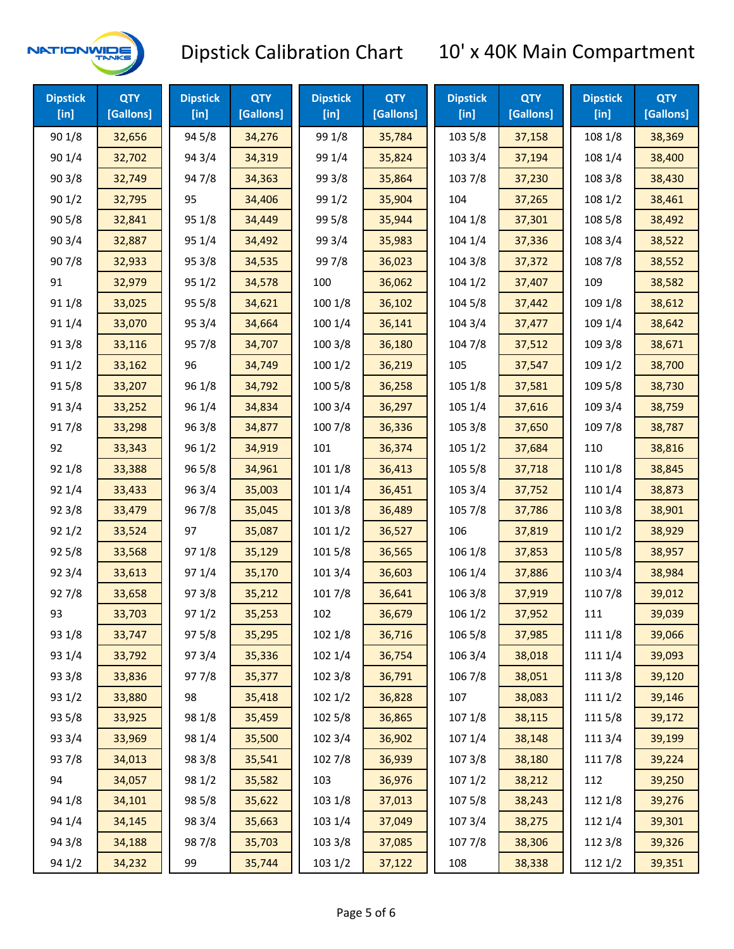

| <b>Dipstick</b><br>[in] | <b>QTY</b><br>[Gallons] | <b>Dipstick</b><br>[in] | <b>QTY</b><br>[Gallons] | <b>Dipstick</b><br>[in] | <b>QTY</b><br>[Gallons] | <b>Dipstick</b><br>$[$ in] | <b>QTY</b><br>[Gallons] | <b>Dipstick</b><br>[in] | <b>QTY</b><br>[Gallons] |
|-------------------------|-------------------------|-------------------------|-------------------------|-------------------------|-------------------------|----------------------------|-------------------------|-------------------------|-------------------------|
| 90 1/8                  | 32,656                  | 94 5/8                  | 34,276                  | 99 1/8                  | 35,784                  | 103 5/8                    | 37,158                  | 108 1/8                 | 38,369                  |
| 90 1/4                  | 32,702                  | 94 3/4                  | 34,319                  | 99 1/4                  | 35,824                  | 103 3/4                    | 37,194                  | 108 1/4                 | 38,400                  |
| 903/8                   | 32,749                  | 947/8                   | 34,363                  | 99 3/8                  | 35,864                  | 103 7/8                    | 37,230                  | 108 3/8                 | 38,430                  |
| 901/2                   | 32,795                  | 95                      | 34,406                  | 99 1/2                  | 35,904                  | 104                        | 37,265                  | 108 1/2                 | 38,461                  |
| 905/8                   | 32,841                  | 95 1/8                  | 34,449                  | 99 5/8                  | 35,944                  | 104 1/8                    | 37,301                  | 108 5/8                 | 38,492                  |
| 90 3/4                  | 32,887                  | 95 1/4                  | 34,492                  | 99 3/4                  | 35,983                  | 104 1/4                    | 37,336                  | 108 3/4                 | 38,522                  |
| 907/8                   | 32,933                  | 95 3/8                  | 34,535                  | 99 7/8                  | 36,023                  | 104 3/8                    | 37,372                  | 108 7/8                 | 38,552                  |
| 91                      | 32,979                  | 95 1/2                  | 34,578                  | 100                     | 36,062                  | 1041/2                     | 37,407                  | 109                     | 38,582                  |
| 91 1/8                  | 33,025                  | 95 5/8                  | 34,621                  | 100 1/8                 | 36,102                  | 104 5/8                    | 37,442                  | 109 1/8                 | 38,612                  |
| 91 1/4                  | 33,070                  | 95 3/4                  | 34,664                  | 100 1/4                 | 36,141                  | 104 3/4                    | 37,477                  | 109 1/4                 | 38,642                  |
| 913/8                   | 33,116                  | 95 7/8                  | 34,707                  | 100 3/8                 | 36,180                  | 104 7/8                    | 37,512                  | 109 3/8                 | 38,671                  |
| 91 1/2                  | 33,162                  | 96                      | 34,749                  | 1001/2                  | 36,219                  | 105                        | 37,547                  | 109 1/2                 | 38,700                  |
| 915/8                   | 33,207                  | 96 1/8                  | 34,792                  | 100 5/8                 | 36,258                  | 105 1/8                    | 37,581                  | 109 5/8                 | 38,730                  |
| 913/4                   | 33,252                  | 96 1/4                  | 34,834                  | 100 3/4                 | 36,297                  | 105 1/4                    | 37,616                  | 109 3/4                 | 38,759                  |
| 917/8                   | 33,298                  | 96 3/8                  | 34,877                  | 100 7/8                 | 36,336                  | 105 3/8                    | 37,650                  | 109 7/8                 | 38,787                  |
| 92                      | 33,343                  | 96 1/2                  | 34,919                  | 101                     | 36,374                  | 1051/2                     | 37,684                  | 110                     | 38,816                  |
| 92 1/8                  | 33,388                  | 96 5/8                  | 34,961                  | 101 1/8                 | 36,413                  | 105 5/8                    | 37,718                  | 110 1/8                 | 38,845                  |
| 92 1/4                  | 33,433                  | 96 3/4                  | 35,003                  | 101 1/4                 | 36,451                  | 105 3/4                    | 37,752                  | 110 1/4                 | 38,873                  |
| 92 3/8                  | 33,479                  | 967/8                   | 35,045                  | 101 3/8                 | 36,489                  | 105 7/8                    | 37,786                  | 110 3/8                 | 38,901                  |
| 921/2                   | 33,524                  | 97                      | 35,087                  | 1011/2                  | 36,527                  | 106                        | 37,819                  | 110 1/2                 | 38,929                  |
| 925/8                   | 33,568                  | 97 1/8                  | 35,129                  | 101 5/8                 | 36,565                  | 106 1/8                    | 37,853                  | 110 5/8                 | 38,957                  |
| 92 3/4                  | 33,613                  | 97 1/4                  | 35,170                  | 101 3/4                 | 36,603                  | 106 1/4                    | 37,886                  | 110 3/4                 | 38,984                  |
| 927/8                   | 33,658                  | 973/8                   | 35,212                  | 101 7/8                 | 36,641                  | 106 3/8                    | 37,919                  | 110 7/8                 | 39,012                  |
| 93                      | 33,703                  | 97 1/2                  | 35,253                  | 102                     | 36,679                  | 106 1/2                    | 37,952                  | 111                     | 39,039                  |
| 93 1/8                  | 33,747                  | 975/8                   | 35,295                  | 102 1/8                 | 36,716                  | 106 5/8                    | 37,985                  | 111 1/8                 | 39,066                  |
| 93 1/4                  | 33,792                  | 973/4                   | 35,336                  | 102 1/4                 | 36,754                  | 106 3/4                    | 38,018                  | 111 1/4                 | 39,093                  |
| 93 3/8                  | 33,836                  | 977/8                   | 35,377                  | 102 3/8                 | 36,791                  | 106 7/8                    | 38,051                  | 111 3/8                 | 39,120                  |
| 93 1/2                  | 33,880                  | 98                      | 35,418                  | 1021/2                  | 36,828                  | 107                        | 38,083                  | 111 1/2                 | 39,146                  |
| 93 5/8                  | 33,925                  | 98 1/8                  | 35,459                  | 102 5/8                 | 36,865                  | 107 1/8                    | 38,115                  | 1115/8                  | 39,172                  |
| 93 3/4                  | 33,969                  | 98 1/4                  | 35,500                  | 102 3/4                 | 36,902                  | 107 1/4                    | 38,148                  | 111 3/4                 | 39,199                  |
| 937/8                   | 34,013                  | 98 3/8                  | 35,541                  | 102 7/8                 | 36,939                  | 1073/8                     | 38,180                  | 111 7/8                 | 39,224                  |
| 94                      | 34,057                  | 98 1/2                  | 35,582                  | 103                     | 36,976                  | 1071/2                     | 38,212                  | 112                     | 39,250                  |
| 94 1/8                  | 34,101                  | 98 5/8                  | 35,622                  | 103 1/8                 | 37,013                  | 1075/8                     | 38,243                  | 112 1/8                 | 39,276                  |
| 94 1/4                  | 34,145                  | 98 3/4                  | 35,663                  | 103 1/4                 | 37,049                  | 107 3/4                    | 38,275                  | 112 1/4                 | 39,301                  |
| 94 3/8                  | 34,188                  | 987/8                   | 35,703                  | 103 3/8                 | 37,085                  | 1077/8                     | 38,306                  | 112 3/8                 | 39,326                  |
| 94 1/2                  | 34,232                  | 99                      | 35,744                  | 103 1/2                 | 37,122                  | 108                        | 38,338                  | 112 1/2                 | 39,351                  |